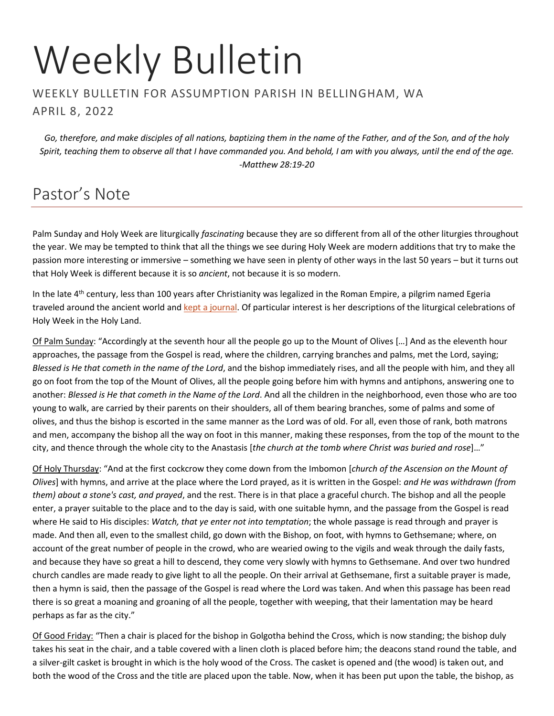# Weekly Bulletin

#### WEEKLY BULLETIN FOR ASSUMPTION PARISH IN BELLINGHAM, WA APRIL 8, 2022

*Go, therefore, and make disciples of all nations, baptizing them in the name of the Father, and of the Son, and of the holy Spirit, teaching them to observe all that I have commanded you. And behold, I am with you always, until the end of the age. -Matthew 28:19-20*

# Pastor's Note

Palm Sunday and Holy Week are liturgically *fascinating* because they are so different from all of the other liturgies throughout the year. We may be tempted to think that all the things we see during Holy Week are modern additions that try to make the passion more interesting or immersive – something we have seen in plenty of other ways in the last 50 years – but it turns out that Holy Week is different because it is so *ancient*, not because it is so modern.

In the late 4<sup>th</sup> century, less than 100 years after Christianity was legalized in the Roman Empire, a pilgrim named Egeria traveled around the ancient world and [kept a journal.](https://www.ccel.org/m/mcclure/etheria/etheria.htm) Of particular interest is her descriptions of the liturgical celebrations of Holy Week in the Holy Land.

Of Palm Sunday: "Accordingly at the seventh hour all the people go up to the Mount of Olives […] And as the eleventh hour approaches, the passage from the Gospel is read, where the children, carrying branches and palms, met the Lord, saying; *Blessed is He that cometh in the name of the Lord*, and the bishop immediately rises, and all the people with him, and they all go on foot from the top of the Mount of Olives, all the people going before him with hymns and antiphons, answering one to another: *Blessed is He that cometh in the Name of the Lord*. And all the children in the neighborhood, even those who are too young to walk, are carried by their parents on their shoulders, all of them bearing branches, some of palms and some of olives, and thus the bishop is escorted in the same manner as the Lord was of old. For all, even those of rank, both matrons and men, accompany the bishop all the way on foot in this manner, making these responses, from the top of the mount to the city, and thence through the whole city to the Anastasis [*the church at the tomb where Christ was buried and rose*]…"

Of Holy Thursday: "And at the first cockcrow they come down from the Imbomon [*church of the Ascension on the Mount of Olives*] with hymns, and arrive at the place where the Lord prayed, as it is written in the Gospel: *and He was withdrawn (from them) about a stone's cast, and prayed*, and the rest. There is in that place a graceful church. The bishop and all the people enter, a prayer suitable to the place and to the day is said, with one suitable hymn, and the passage from the Gospel is read where He said to His disciples: *Watch, that ye enter not into temptation*; the whole passage is read through and prayer is made. And then all, even to the smallest child, go down with the Bishop, on foot, with hymns to Gethsemane; where, on account of the great number of people in the crowd, who are wearied owing to the vigils and weak through the daily fasts, and because they have so great a hill to descend, they come very slowly with hymns to Gethsemane. And over two hundred church candles are made ready to give light to all the people. On their arrival at Gethsemane, first a suitable prayer is made, then a hymn is said, then the passage of the Gospel is read where the Lord was taken. And when this passage has been read there is so great a moaning and groaning of all the people, together with weeping, that their lamentation may be heard perhaps as far as the city."

Of Good Friday: "Then a chair is placed for the bishop in Golgotha behind the Cross, which is now standing; the bishop duly takes his seat in the chair, and a table covered with a linen cloth is placed before him; the deacons stand round the table, and a silver-gilt casket is brought in which is the holy wood of the Cross. The casket is opened and (the wood) is taken out, and both the wood of the Cross and the title are placed upon the table. Now, when it has been put upon the table, the bishop, as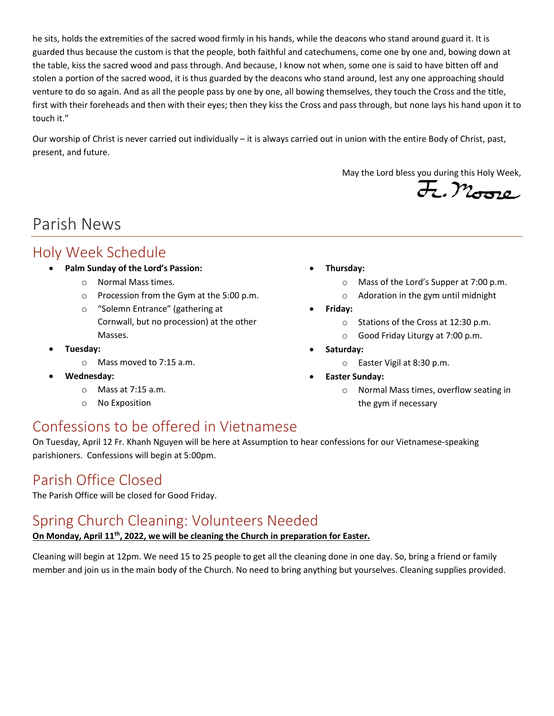he sits, holds the extremities of the sacred wood firmly in his hands, while the deacons who stand around guard it. It is guarded thus because the custom is that the people, both faithful and catechumens, come one by one and, bowing down at the table, kiss the sacred wood and pass through. And because, I know not when, some one is said to have bitten off and stolen a portion of the sacred wood, it is thus guarded by the deacons who stand around, lest any one approaching should venture to do so again. And as all the people pass by one by one, all bowing themselves, they touch the Cross and the title, first with their foreheads and then with their eyes; then they kiss the Cross and pass through, but none lays his hand upon it to touch it."

Our worship of Christ is never carried out individually – it is always carried out in union with the entire Body of Christ, past, present, and future.

May the Lord bless you during this Holy Week,

# Parish News

# Holy Week Schedule

- **Palm Sunday of the Lord's Passion:**
	- o Normal Mass times.
	- o Procession from the Gym at the 5:00 p.m.
	- o "Solemn Entrance" (gathering at Cornwall, but no procession) at the other Masses.
- **Tuesday:**
	- o Mass moved to 7:15 a.m.
- **Wednesday:**
	- o Mass at 7:15 a.m.
	- o No Exposition
- **Thursday:**
	- o Mass of the Lord's Supper at 7:00 p.m.
	- o Adoration in the gym until midnight
- **Friday:**
	- o Stations of the Cross at 12:30 p.m.
	- o Good Friday Liturgy at 7:00 p.m.
- **Saturday:**
	- o Easter Vigil at 8:30 p.m.
- **Easter Sunday:**
	- o Normal Mass times, overflow seating in the gym if necessary

# Confessions to be offered in Vietnamese

On Tuesday, April 12 Fr. Khanh Nguyen will be here at Assumption to hear confessions for our Vietnamese-speaking parishioners. Confessions will begin at 5:00pm.

# Parish Office Closed

The Parish Office will be closed for Good Friday.

# Spring Church Cleaning: Volunteers Needed

**On Monday, April 11th, 2022, we will be cleaning the Church in preparation for Easter.** 

Cleaning will begin at 12pm. We need 15 to 25 people to get all the cleaning done in one day. So, bring a friend or family member and join us in the main body of the Church. No need to bring anything but yourselves. Cleaning supplies provided.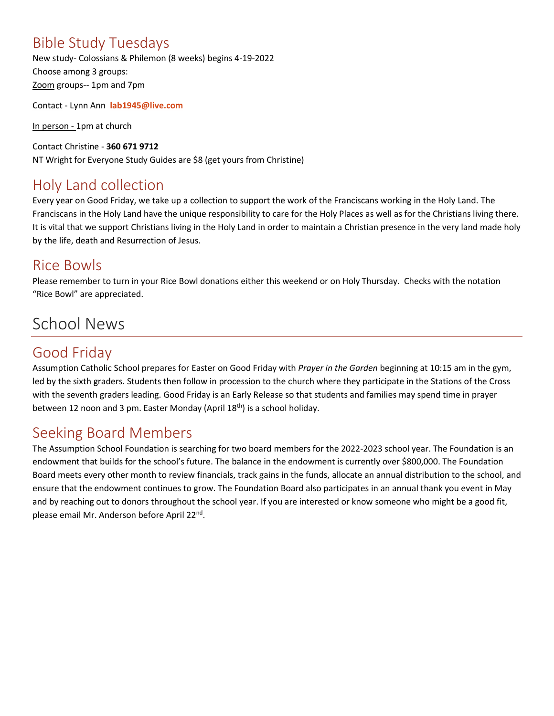## Bible Study Tuesdays

New study- Colossians & Philemon (8 weeks) begins 4-19-2022 Choose among 3 groups: Zoom groups-- 1pm and 7pm

Contact - Lynn Ann **[lab1945@live.com](mailto:lab1945@live.com)**

In person - 1pm at church

Contact Christine - **360 671 9712** NT Wright for Everyone Study Guides are \$8 (get yours from Christine)

## Holy Land collection

Every year on Good Friday, we take up a collection to support the work of the Franciscans working in the Holy Land. The Franciscans in the Holy Land have the unique responsibility to care for the Holy Places as well as for the Christians living there. It is vital that we support Christians living in the Holy Land in order to maintain a Christian presence in the very land made holy by the life, death and Resurrection of Jesus.

#### Rice Bowls

Please remember to turn in your Rice Bowl donations either this weekend or on Holy Thursday. Checks with the notation "Rice Bowl" are appreciated.

# School News

# Good Friday

Assumption Catholic School prepares for Easter on Good Friday with *Prayer in the Garden* beginning at 10:15 am in the gym, led by the sixth graders. Students then follow in procession to the church where they participate in the Stations of the Cross with the seventh graders leading. Good Friday is an Early Release so that students and families may spend time in prayer between 12 noon and 3 pm. Easter Monday (April 18<sup>th</sup>) is a school holiday.

# Seeking Board Members

The Assumption School Foundation is searching for two board members for the 2022-2023 school year. The Foundation is an endowment that builds for the school's future. The balance in the endowment is currently over \$800,000. The Foundation Board meets every other month to review financials, track gains in the funds, allocate an annual distribution to the school, and ensure that the endowment continues to grow. The Foundation Board also participates in an annual thank you event in May and by reaching out to donors throughout the school year. If you are interested or know someone who might be a good fit, please email Mr. Anderson before April 22<sup>nd</sup>.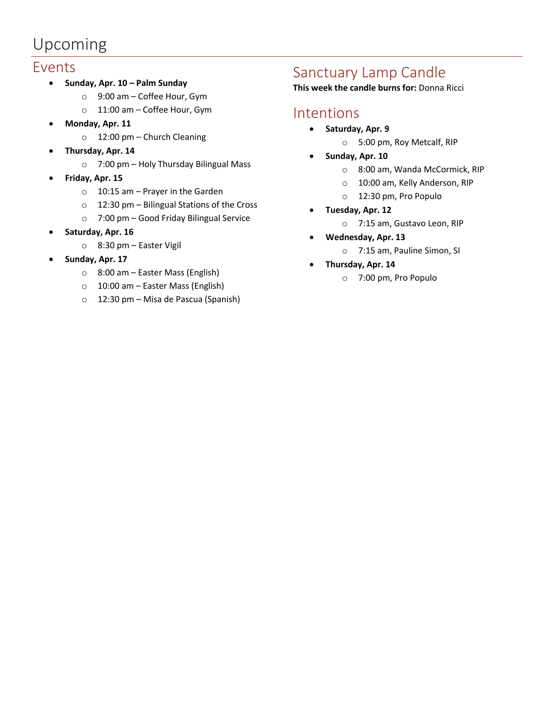# Upcoming

#### Events

- **Sunday, Apr. 10 – Palm Sunday**
	- o 9:00 am Coffee Hour, Gym
	- o 11:00 am Coffee Hour, Gym
- **Monday, Apr. 11**
	- o 12:00 pm Church Cleaning
- **Thursday, Apr. 14**
	- o 7:00 pm Holy Thursday Bilingual Mass
- **Friday, Apr. 15**
	- o 10:15 am Prayer in the Garden
	- o 12:30 pm Bilingual Stations of the Cross
	- o 7:00 pm Good Friday Bilingual Service
- **Saturday, Apr. 16**
	- o 8:30 pm Easter Vigil
- **Sunday, Apr. 17**
	- o 8:00 am Easter Mass (English)
	- o 10:00 am Easter Mass (English)
	- o 12:30 pm Misa de Pascua (Spanish)

## Sanctuary Lamp Candle

**This week the candle burns for:** Donna Ricci

#### Intentions

- **Saturday, Apr. 9**
	- o 5:00 pm, Roy Metcalf, RIP
- **Sunday, Apr. 10**
	- o 8:00 am, Wanda McCormick, RIP
	- o 10:00 am, Kelly Anderson, RIP
	- o 12:30 pm, Pro Populo
- **Tuesday, Apr. 12**
	- o 7:15 am, Gustavo Leon, RIP
- **Wednesday, Apr. 13**
	- o 7:15 am, Pauline Simon, SI
- **Thursday, Apr. 14**
	- o 7:00 pm, Pro Populo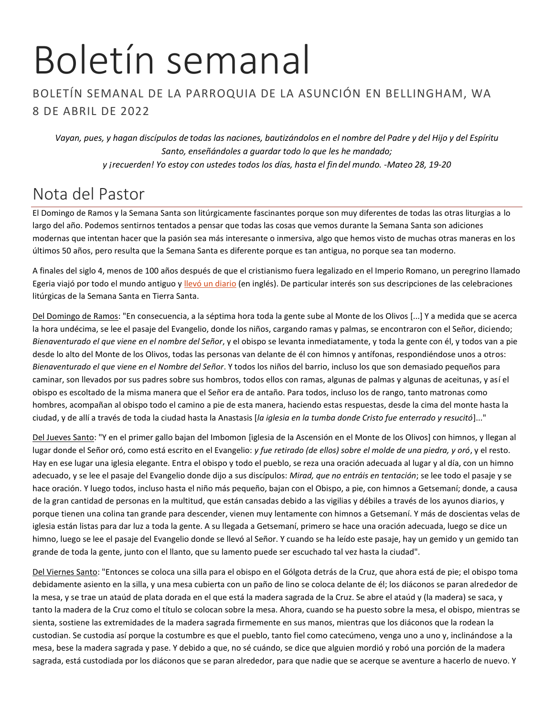# Boletín semanal

#### BOLETÍN SEMANAL DE LA PARROQUIA DE LA ASUNCIÓN EN BELLINGHAM, WA 8 DE ABRIL DE 2022

*Vayan, pues, y hagan discípulos de todas las naciones, bautizándolos en el nombre del Padre y del Hijo y del Espíritu Santo, enseñándoles a guardar todo lo que les he mandado; y ¡recuerden! Yo estoy con ustedes todos los días, hasta el fin del mundo. -Mateo 28, 19-20*

# Nota del Pastor

El Domingo de Ramos y la Semana Santa son litúrgicamente fascinantes porque son muy diferentes de todas las otras liturgias a lo largo del año. Podemos sentirnos tentados a pensar que todas las cosas que vemos durante la Semana Santa son adiciones modernas que intentan hacer que la pasión sea más interesante o inmersiva, algo que hemos visto de muchas otras maneras en los últimos 50 años, pero resulta que la Semana Santa es diferente porque es tan antigua, no porque sea tan moderno.

A finales del siglo 4, menos de 100 años después de que el cristianismo fuera legalizado en el Imperio Romano, un peregrino llamado Egeria viajó por todo el mundo antiguo [y llevó un diario](https://www.ccel.org/m/mcclure/etheria/etheria.htm) (en inglés). De particular interés son sus descripciones de las celebraciones litúrgicas de la Semana Santa en Tierra Santa.

Del Domingo de Ramos: "En consecuencia, a la séptima hora toda la gente sube al Monte de los Olivos [...] Y a medida que se acerca la hora undécima, se lee el pasaje del Evangelio, donde los niños, cargando ramas y palmas, se encontraron con el Señor, diciendo; *Bienaventurado el que viene en el nombre del Señor*, y el obispo se levanta inmediatamente, y toda la gente con él, y todos van a pie desde lo alto del Monte de los Olivos, todas las personas van delante de él con himnos y antífonas, respondiéndose unos a otros: *Bienaventurado el que viene en el Nombre del Señor*. Y todos los niños del barrio, incluso los que son demasiado pequeños para caminar, son llevados por sus padres sobre sus hombros, todos ellos con ramas, algunas de palmas y algunas de aceitunas, y así el obispo es escoltado de la misma manera que el Señor era de antaño. Para todos, incluso los de rango, tanto matronas como hombres, acompañan al obispo todo el camino a pie de esta manera, haciendo estas respuestas, desde la cima del monte hasta la ciudad, y de allí a través de toda la ciudad hasta la Anastasis [*la iglesia en la tumba donde Cristo fue enterrado y resucitó*]..."

Del Jueves Santo: "Y en el primer gallo bajan del Imbomon [iglesia de la Ascensión en el Monte de los Olivos] con himnos, y llegan al lugar donde el Señor oró, como está escrito en el Evangelio: *y fue retirado (de ellos) sobre el molde de una piedra, y oró*, y el resto. Hay en ese lugar una iglesia elegante. Entra el obispo y todo el pueblo, se reza una oración adecuada al lugar y al día, con un himno adecuado, y se lee el pasaje del Evangelio donde dijo a sus discípulos: *Mirad, que no entráis en tentación*; se lee todo el pasaje y se hace oración. Y luego todos, incluso hasta el niño más pequeño, bajan con el Obispo, a pie, con himnos a Getsemaní; donde, a causa de la gran cantidad de personas en la multitud, que están cansadas debido a las vigilias y débiles a través de los ayunos diarios, y porque tienen una colina tan grande para descender, vienen muy lentamente con himnos a Getsemaní. Y más de doscientas velas de iglesia están listas para dar luz a toda la gente. A su llegada a Getsemaní, primero se hace una oración adecuada, luego se dice un himno, luego se lee el pasaje del Evangelio donde se llevó al Señor. Y cuando se ha leído este pasaje, hay un gemido y un gemido tan grande de toda la gente, junto con el llanto, que su lamento puede ser escuchado tal vez hasta la ciudad".

Del Viernes Santo: "Entonces se coloca una silla para el obispo en el Gólgota detrás de la Cruz, que ahora está de pie; el obispo toma debidamente asiento en la silla, y una mesa cubierta con un paño de lino se coloca delante de él; los diáconos se paran alrededor de la mesa, y se trae un ataúd de plata dorada en el que está la madera sagrada de la Cruz. Se abre el ataúd y (la madera) se saca, y tanto la madera de la Cruz como el título se colocan sobre la mesa. Ahora, cuando se ha puesto sobre la mesa, el obispo, mientras se sienta, sostiene las extremidades de la madera sagrada firmemente en sus manos, mientras que los diáconos que la rodean la custodian. Se custodia así porque la costumbre es que el pueblo, tanto fiel como catecúmeno, venga uno a uno y, inclinándose a la mesa, bese la madera sagrada y pase. Y debido a que, no sé cuándo, se dice que alguien mordió y robó una porción de la madera sagrada, está custodiada por los diáconos que se paran alrededor, para que nadie que se acerque se aventure a hacerlo de nuevo. Y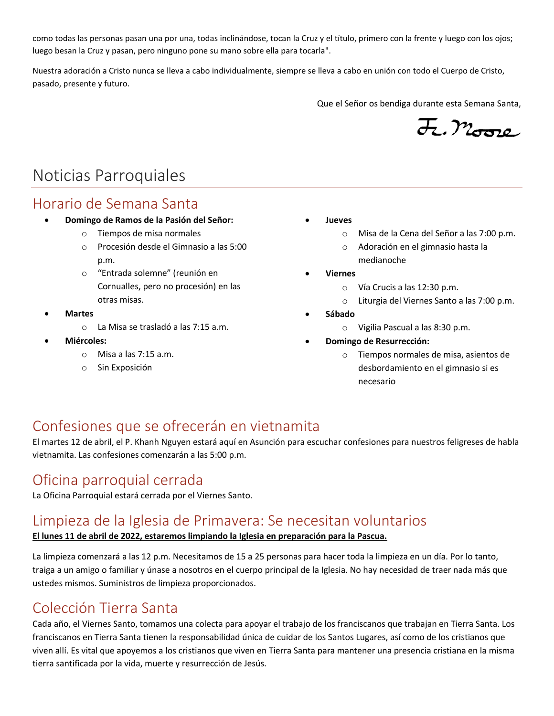como todas las personas pasan una por una, todas inclinándose, tocan la Cruz y el título, primero con la frente y luego con los ojos; luego besan la Cruz y pasan, pero ninguno pone su mano sobre ella para tocarla".

Nuestra adoración a Cristo nunca se lleva a cabo individualmente, siempre se lleva a cabo en unión con todo el Cuerpo de Cristo, pasado, presente y futuro.

Que el Señor os bendiga durante esta Semana Santa,



# Noticias Parroquiales

#### Horario de Semana Santa

- **Domingo de Ramos de la Pasión del Señor:**
	- o Tiempos de misa normales
	- o Procesión desde el Gimnasio a las 5:00 p.m.
	- o "Entrada solemne" (reunión en Cornualles, pero no procesión) en las otras misas.
- **Martes**
	- o La Misa se trasladó a las 7:15 a.m.
- **Miércoles:**
	- o Misa a las 7:15 a.m.
	- o Sin Exposición
- **Jueves**
	- o Misa de la Cena del Señor a las 7:00 p.m.
	- o Adoración en el gimnasio hasta la medianoche
- **Viernes**
	- o Vía Crucis a las 12:30 p.m.
	- o Liturgia del Viernes Santo a las 7:00 p.m.
- **Sábado**
	- o Vigilia Pascual a las 8:30 p.m.
- **Domingo de Resurrección:**
	- o Tiempos normales de misa, asientos de desbordamiento en el gimnasio si es necesario

## Confesiones que se ofrecerán en vietnamita

El martes 12 de abril, el P. Khanh Nguyen estará aquí en Asunción para escuchar confesiones para nuestros feligreses de habla vietnamita. Las confesiones comenzarán a las 5:00 p.m.

#### Oficina parroquial cerrada

La Oficina Parroquial estará cerrada por el Viernes Santo.

# Limpieza de la Iglesia de Primavera: Se necesitan voluntarios

**El lunes 11 de abril de 2022, estaremos limpiando la Iglesia en preparación para la Pascua.** 

La limpieza comenzará a las 12 p.m. Necesitamos de 15 a 25 personas para hacer toda la limpieza en un día. Por lo tanto, traiga a un amigo o familiar y únase a nosotros en el cuerpo principal de la Iglesia. No hay necesidad de traer nada más que ustedes mismos. Suministros de limpieza proporcionados.

## Colección Tierra Santa

Cada año, el Viernes Santo, tomamos una colecta para apoyar el trabajo de los franciscanos que trabajan en Tierra Santa. Los franciscanos en Tierra Santa tienen la responsabilidad única de cuidar de los Santos Lugares, así como de los cristianos que viven allí. Es vital que apoyemos a los cristianos que viven en Tierra Santa para mantener una presencia cristiana en la misma tierra santificada por la vida, muerte y resurrección de Jesús.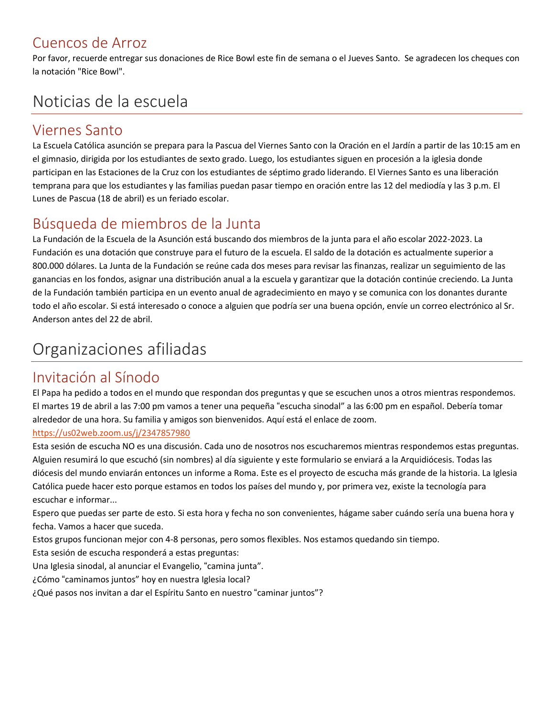## Cuencos de Arroz

Por favor, recuerde entregar sus donaciones de Rice Bowl este fin de semana o el Jueves Santo. Se agradecen los cheques con la notación "Rice Bowl".

# Noticias de la escuela

#### Viernes Santo

La Escuela Católica asunción se prepara para la Pascua del Viernes Santo con la Oración en el Jardín a partir de las 10:15 am en el gimnasio, dirigida por los estudiantes de sexto grado. Luego, los estudiantes siguen en procesión a la iglesia donde participan en las Estaciones de la Cruz con los estudiantes de séptimo grado liderando. El Viernes Santo es una liberación temprana para que los estudiantes y las familias puedan pasar tiempo en oración entre las 12 del mediodía y las 3 p.m. El Lunes de Pascua (18 de abril) es un feriado escolar.

# Búsqueda de miembros de la Junta

La Fundación de la Escuela de la Asunción está buscando dos miembros de la junta para el año escolar 2022-2023. La Fundación es una dotación que construye para el futuro de la escuela. El saldo de la dotación es actualmente superior a 800.000 dólares. La Junta de la Fundación se reúne cada dos meses para revisar las finanzas, realizar un seguimiento de las ganancias en los fondos, asignar una distribución anual a la escuela y garantizar que la dotación continúe creciendo. La Junta de la Fundación también participa en un evento anual de agradecimiento en mayo y se comunica con los donantes durante todo el año escolar. Si está interesado o conoce a alguien que podría ser una buena opción, envíe un correo electrónico al Sr. Anderson antes del 22 de abril.

# Organizaciones afiliadas

## Invitación al Sínodo

El Papa ha pedido a todos en el mundo que respondan dos preguntas y que se escuchen unos a otros mientras respondemos. El martes 19 de abril a las 7:00 pm vamos a tener una pequeña "escucha sinodal" a las 6:00 pm en español. Debería tomar alrededor de una hora. Su familia y amigos son bienvenidos. Aquí está el enlace de zoom.

#### <https://us02web.zoom.us/j/2347857980>

Esta sesión de escucha NO es una discusión. Cada uno de nosotros nos escucharemos mientras respondemos estas preguntas. Alguien resumirá lo que escuchó (sin nombres) al día siguiente y este formulario se enviará a la Arquidiócesis. Todas las diócesis del mundo enviarán entonces un informe a Roma. Este es el proyecto de escucha más grande de la historia. La Iglesia Católica puede hacer esto porque estamos en todos los países del mundo y, por primera vez, existe la tecnología para escuchar e informar...

Espero que puedas ser parte de esto. Si esta hora y fecha no son convenientes, hágame saber cuándo sería una buena hora y fecha. Vamos a hacer que suceda.

Estos grupos funcionan mejor con 4-8 personas, pero somos flexibles. Nos estamos quedando sin tiempo.

Esta sesión de escucha responderá a estas preguntas:

Una Iglesia sinodal, al anunciar el Evangelio, "camina junta".

¿Cómo "caminamos juntos" hoy en nuestra Iglesia local?

¿Qué pasos nos invitan a dar el Espíritu Santo en nuestro "caminar juntos"?